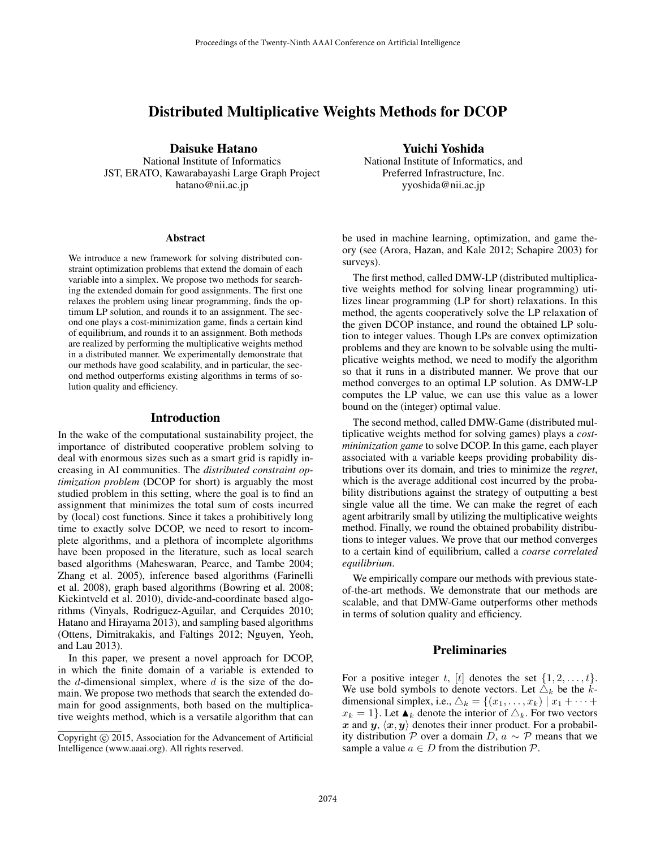## Distributed Multiplicative Weights Methods for DCOP

Daisuke Hatano

National Institute of Informatics JST, ERATO, Kawarabayashi Large Graph Project hatano@nii.ac.jp

### Abstract

We introduce a new framework for solving distributed constraint optimization problems that extend the domain of each variable into a simplex. We propose two methods for searching the extended domain for good assignments. The first one relaxes the problem using linear programming, finds the optimum LP solution, and rounds it to an assignment. The second one plays a cost-minimization game, finds a certain kind of equilibrium, and rounds it to an assignment. Both methods are realized by performing the multiplicative weights method in a distributed manner. We experimentally demonstrate that our methods have good scalability, and in particular, the second method outperforms existing algorithms in terms of solution quality and efficiency.

## Introduction

In the wake of the computational sustainability project, the importance of distributed cooperative problem solving to deal with enormous sizes such as a smart grid is rapidly increasing in AI communities. The *distributed constraint optimization problem* (DCOP for short) is arguably the most studied problem in this setting, where the goal is to find an assignment that minimizes the total sum of costs incurred by (local) cost functions. Since it takes a prohibitively long time to exactly solve DCOP, we need to resort to incomplete algorithms, and a plethora of incomplete algorithms have been proposed in the literature, such as local search based algorithms (Maheswaran, Pearce, and Tambe 2004; Zhang et al. 2005), inference based algorithms (Farinelli et al. 2008), graph based algorithms (Bowring et al. 2008; Kiekintveld et al. 2010), divide-and-coordinate based algorithms (Vinyals, Rodriguez-Aguilar, and Cerquides 2010; Hatano and Hirayama 2013), and sampling based algorithms (Ottens, Dimitrakakis, and Faltings 2012; Nguyen, Yeoh, and Lau 2013).

In this paper, we present a novel approach for DCOP, in which the finite domain of a variable is extended to the  $d$ -dimensional simplex, where  $d$  is the size of the domain. We propose two methods that search the extended domain for good assignments, both based on the multiplicative weights method, which is a versatile algorithm that can

### Yuichi Yoshida

National Institute of Informatics, and Preferred Infrastructure, Inc. yyoshida@nii.ac.jp

be used in machine learning, optimization, and game theory (see (Arora, Hazan, and Kale 2012; Schapire 2003) for surveys).

The first method, called DMW-LP (distributed multiplicative weights method for solving linear programming) utilizes linear programming (LP for short) relaxations. In this method, the agents cooperatively solve the LP relaxation of the given DCOP instance, and round the obtained LP solution to integer values. Though LPs are convex optimization problems and they are known to be solvable using the multiplicative weights method, we need to modify the algorithm so that it runs in a distributed manner. We prove that our method converges to an optimal LP solution. As DMW-LP computes the LP value, we can use this value as a lower bound on the (integer) optimal value.

The second method, called DMW-Game (distributed multiplicative weights method for solving games) plays a *costminimization game* to solve DCOP. In this game, each player associated with a variable keeps providing probability distributions over its domain, and tries to minimize the *regret*, which is the average additional cost incurred by the probability distributions against the strategy of outputting a best single value all the time. We can make the regret of each agent arbitrarily small by utilizing the multiplicative weights method. Finally, we round the obtained probability distributions to integer values. We prove that our method converges to a certain kind of equilibrium, called a *coarse correlated equilibrium*.

We empirically compare our methods with previous stateof-the-art methods. We demonstrate that our methods are scalable, and that DMW-Game outperforms other methods in terms of solution quality and efficiency.

## Preliminaries

For a positive integer t, [t] denotes the set  $\{1, 2, \ldots, t\}$ . We use bold symbols to denote vectors. Let  $\Delta_k$  be the kdimensional simplex, i.e.,  $\triangle_k = \{(x_1, \ldots, x_k) | x_1 + \cdots +$  $x_k = 1$ . Let  $\blacktriangle_k$  denote the interior of  $\triangle_k$ . For two vectors x and  $y, \langle x, y \rangle$  denotes their inner product. For a probability distribution P over a domain D,  $a ∼ P$  means that we sample a value  $a \in D$  from the distribution  $\mathcal{P}$ .

Copyright © 2015, Association for the Advancement of Artificial Intelligence (www.aaai.org). All rights reserved.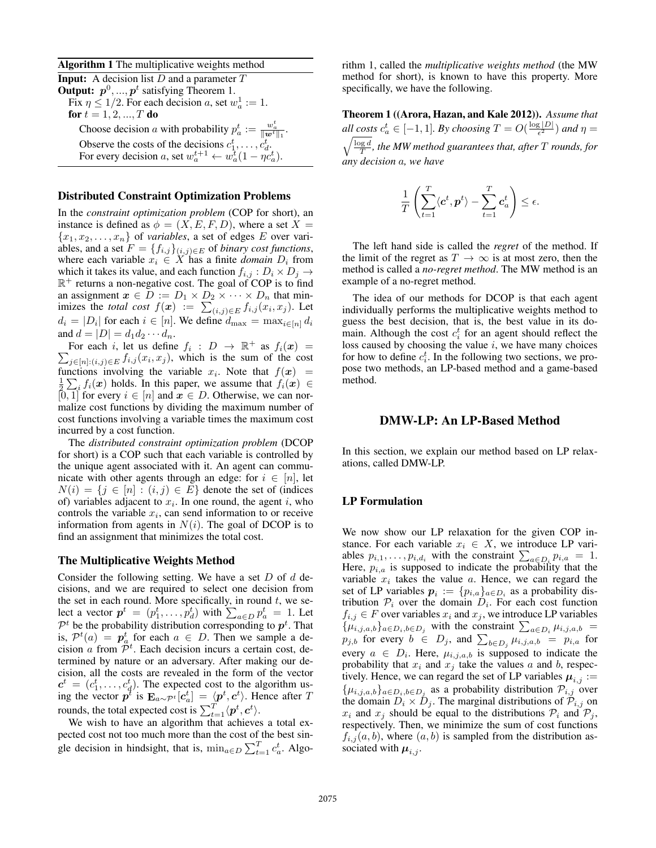Algorithm 1 The multiplicative weights method

**Input:** A decision list  $D$  and a parameter  $T$ **Output:**  $p^0, ..., p^t$  satisfying Theorem 1. Fix  $\eta \leq 1/2$ . For each decision a, set  $w_a^1 := 1$ . for  $t = 1, 2, ..., T$  do Choose decision *a* with probability  $p_a^t := \frac{w_a^t}{\|w^t\|_1}$ . Observe the costs of the decisions  $c_1^t, \ldots, c_d^t$ . For every decision a, set  $w_a^{t+1} \leftarrow w_a^{\overline{t}} (1 - \eta c_a^t)$ .

### Distributed Constraint Optimization Problems

In the *constraint optimization problem* (COP for short), an instance is defined as  $\phi = (X, E, F, D)$ , where a set  $X =$  ${x_1, x_2, \ldots, x_n}$  of *variables*, a set of edges E over variables, and a set  $F = \{f_{i,j}\}_{(i,j)\in E}$  of *binary cost functions*, where each variable  $x_i \in X$  has a finite *domain*  $D_i$  from which it takes its value, and each function  $f_{i,j} : D_i \times D_j \rightarrow$  $\mathbb{R}^+$  returns a non-negative cost. The goal of COP is to find an assignment  $x \in D := D_1 \times D_2 \times \cdots \times D_n$  that minimizes the *total cost*  $f(x) := \sum_{(i,j) \in E} f_{i,j}(x_i, x_j)$ . Let  $d_i = |D_i|$  for each  $i \in [n]$ . We define  $d_{\text{max}} = \max_{i \in [n]} d_i$ and  $d = |D| = d_1 d_2 \cdots d_n$ .

For each i, let us define  $f_i : D \to \mathbb{R}^+$  as  $f_i(x) =$  $\sum_{j \in [n]: (i,j) \in E} f_{i,j}(x_i, x_j)$ , which is the sum of the cost functions involving the variable  $x_i$ . Note that  $f(x) =$  $\frac{1}{2} \sum_i f_i(x)$  holds. In this paper, we assume that  $f_i(x) \in$ [0, 1] for every  $i \in [n]$  and  $x \in D$ . Otherwise, we can normalize cost functions by dividing the maximum number of cost functions involving a variable times the maximum cost incurred by a cost function.

The *distributed constraint optimization problem* (DCOP for short) is a COP such that each variable is controlled by the unique agent associated with it. An agent can communicate with other agents through an edge: for  $i \in [n]$ , let  $N(i) = \{j \in [n] : (i, j) \in E\}$  denote the set of (indices of) variables adjacent to  $x_i$ . In one round, the agent i, who controls the variable  $x_i$ , can send information to or receive information from agents in  $N(i)$ . The goal of DCOP is to find an assignment that minimizes the total cost.

### The Multiplicative Weights Method

Consider the following setting. We have a set  $D$  of  $d$  decisions, and we are required to select one decision from the set in each round. More specifically, in round  $t$ , we select a vector  $p^t = (p_1^t, \ldots, p_d^t)$  with  $\sum_{a \in D} p_a^t = 1$ . Let  $\mathcal{P}^t$  be the probability distribution corresponding to  $p^t$ . That is,  $\mathcal{P}^t(a) = \boldsymbol{p}_a^t$  for each  $a \in D$ . Then we sample a decision a from  $\tilde{\mathcal{P}}^t$ . Each decision incurs a certain cost, determined by nature or an adversary. After making our decision, all the costs are revealed in the form of the vector  $c^t = (c_1^t, \ldots, c_d^t)$ . The expected cost to the algorithm using the vector  $p^t$  is  $\mathbf{E}_{a \sim \mathcal{P}^t}[c_a^t] = \langle p^t, c^t \rangle$ . Hence after T rounds, the total expected cost is  $\sum_{t=1}^{T} \langle p^t, c^t \rangle$ .

We wish to have an algorithm that achieves a total expected cost not too much more than the cost of the best single decision in hindsight, that is,  $\min_{a \in D} \sum_{t=1}^{T} c_a^t$ . Algo-

rithm 1, called the *multiplicative weights method* (the MW method for short), is known to have this property. More specifically, we have the following.

Theorem 1 ((Arora, Hazan, and Kale 2012)). *Assume that* all costs  $c_a^t \in [-1,1]$ *. By choosing*  $T = O(\frac{\log |D|}{\epsilon^2})$  $\frac{Z_{\epsilon}|\nu|}{\epsilon^2}$  *and*  $\eta =$  $\sqrt{\frac{\log d}{T}}$ , the MW method guarantees that, after T *rounds, for any decision* a*, we have*

$$
\frac{1}{T}\left(\sum_{t=1}^T\langle \mathbf{c}^t, \mathbf{p}^t\rangle - \sum_{t=1}^T\mathbf{c}^t_a\right) \le \epsilon.
$$

The left hand side is called the *regret* of the method. If the limit of the regret as  $T \to \infty$  is at most zero, then the method is called a *no-regret method*. The MW method is an example of a no-regret method.

The idea of our methods for DCOP is that each agent individually performs the multiplicative weights method to guess the best decision, that is, the best value in its domain. Although the cost  $c_i^t$  for an agent should reflect the loss caused by choosing the value  $i$ , we have many choices for how to define  $c_i^t$ . In the following two sections, we propose two methods, an LP-based method and a game-based method.

### DMW-LP: An LP-Based Method

In this section, we explain our method based on LP relaxations, called DMW-LP.

## LP Formulation

We now show our LP relaxation for the given COP instance. For each variable  $x_i \in X$ , we introduce LP variables  $p_{i,1}, \ldots, p_{i,d_i}$  with the constraint  $\sum_{a \in D_i} p_{i,a} = 1$ . Here,  $p_{i,a}$  is supposed to indicate the probability that the variable  $x_i$  takes the value  $a$ . Hence, we can regard the set of LP variables  $p_i := \{p_{i,a}\}_{a \in D_i}$  as a probability distribution  $P_i$  over the domain  $D_i$ . For each cost function  $f_{i,j} \in F$  over variables  $x_i$  and  $x_j$ , we introduce LP variables  $\{\mu_{i,j,a,b}\}_ {a \in D_i, b \in D_j}$  with the constraint  $\sum_{a \in D_i} \mu_{i,j,a,b}$  $p_{j,b}$  for every  $b \in D_j$ , and  $\sum_{b \in D_j} \mu_{i,j,a,b} = p_{i,a}$  for every  $a \in D_i$ . Here,  $\mu_{i,j,a,b}$  is supposed to indicate the probability that  $x_i$  and  $x_j$  take the values a and b, respectively. Hence, we can regard the set of LP variables  $\mu_{i,j} :=$  $\{\mu_{i,j,a,b}\}_{a \in D_i, b \in D_j}$  as a probability distribution  $\mathcal{P}_{i,j}$  over the domain  $D_i \times D_j$ . The marginal distributions of  $\tilde{\mathcal{P}}_{i,j}$  on  $x_i$  and  $x_j$  should be equal to the distributions  $\mathcal{P}_i$  and  $\mathcal{P}_j$ , respectively. Then, we minimize the sum of cost functions  $f_{i,j}(a, b)$ , where  $(a, b)$  is sampled from the distribution associated with  $\mu_{i,j}$ .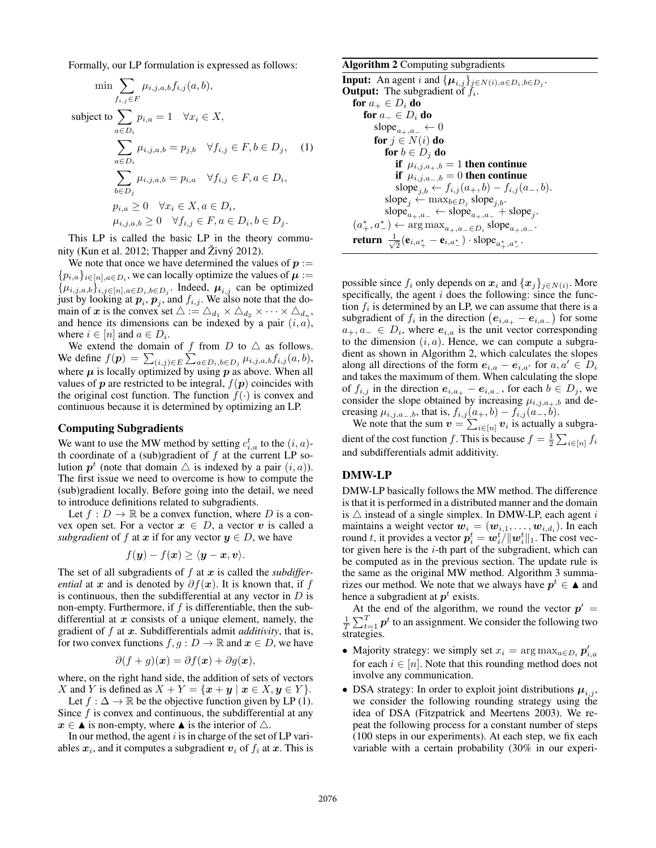Formally, our LP formulation is expressed as follows:

$$
\min \sum_{f_{i,j} \in F} \mu_{i,j,a,b} f_{i,j}(a,b),
$$
\n
$$
\text{subject to } \sum_{a \in D_i} p_{i,a} = 1 \quad \forall x_i \in X,
$$
\n
$$
\sum_{a \in D_i} \mu_{i,j,a,b} = p_{j,b} \quad \forall f_{i,j} \in F, b \in D_j, \quad (1)
$$
\n
$$
\sum_{b \in D_j} \mu_{i,j,a,b} = p_{i,a} \quad \forall f_{i,j} \in F, a \in D_i,
$$
\n
$$
p_{i,a} \ge 0 \quad \forall x_i \in X, a \in D_i,
$$
\n
$$
\mu_{i,j,a,b} \ge 0 \quad \forall f_{i,j} \in F, a \in D_i, b \in D_j.
$$

This LP is called the basic LP in the theory community (Kun et al. 2012; Thapper and  $\overline{Z}$ ivn $\acute{y}$  2012).

We note that once we have determined the values of  $p :=$  $\{p_{i,a}\}_{i\in[n],a\in D_i}$ , we can locally optimize the values of  $\mu :=$  $\{\mu_{i,j,a,b}\}_{i,j\in[n],a\in D_i,b\in D_j}$ . Indeed,  $\mu_{i,j}$  can be optimized just by looking at  $p_i$ ,  $p_j$ , and  $f_{i,j}$ . We also note that the domain of  $x$  is the convex set  $\triangle := \triangle_{d_1} \times \triangle_{d_2} \times \cdots \times \triangle_{d_n}$ , and hence its dimensions can be indexed by a pair  $(i, a)$ , where  $i \in [n]$  and  $a \in D_i$ .

We extend the domain of f from D to  $\triangle$  as follows. We define  $f(\boldsymbol{p}) = \sum_{(i,j) \in E} \sum_{a \in D_i, b \in D_j} \mu_{i,j,a,b} f_{i,j}(a,b),$ where  $\mu$  is locally optimized by using  $p$  as above. When all values of  $p$  are restricted to be integral,  $f(p)$  coincides with the original cost function. The function  $f(\cdot)$  is convex and continuous because it is determined by optimizing an LP.

### Computing Subgradients

We want to use the MW method by setting  $c_{i,a}^t$  to the  $(i, a)$ th coordinate of a (sub)gradient of  $f$  at the current LP solution  $p^t$  (note that domain  $\triangle$  is indexed by a pair  $(i, a)$ ). The first issue we need to overcome is how to compute the (sub)gradient locally. Before going into the detail, we need to introduce definitions related to subgradients.

Let  $f: D \to \mathbb{R}$  be a convex function, where D is a convex open set. For a vector  $x \in D$ , a vector v is called a *subgradient* of f at x if for any vector  $y \in D$ , we have

$$
f(\boldsymbol{y}) - f(\boldsymbol{x}) \ge \langle \boldsymbol{y} - \boldsymbol{x}, \boldsymbol{v} \rangle.
$$

The set of all subgradients of  $f$  at  $x$  is called the *subdifferential* at x and is denoted by  $\partial f(x)$ . It is known that, if f is continuous, then the subdifferential at any vector in  $D$  is non-empty. Furthermore, if  $f$  is differentiable, then the subdifferential at  $x$  consists of a unique element, namely, the gradient of f at x. Subdifferentials admit *additivity*, that is, for two convex functions  $f, g : D \to \mathbb{R}$  and  $x \in D$ , we have

$$
\partial(f+g)(x) = \partial f(x) + \partial g(x),
$$

where, on the right hand side, the addition of sets of vectors X and Y is defined as  $X + Y = \{x + y \mid x \in X, y \in Y\}.$ 

Let  $f : \Delta \to \mathbb{R}$  be the objective function given by LP (1). Since  $f$  is convex and continuous, the subdifferential at any  $x \in \triangle$  is non-empty, where  $\triangle$  is the interior of  $\triangle$ .

In our method, the agent  $i$  is in charge of the set of LP variables  $x_i$ , and it computes a subgradient  $v_i$  of  $f_i$  at  $x$ . This is

### Algorithm 2 Computing subgradients

**Input:** An agent i and  $\{\boldsymbol{\mu}_{i,j}\}_{j \in N(i), a \in D_i, b \in D_j}$ . **Output:** The subgradient of  $f_i$ . for  $a_+ \in D_i$  do for  $a_-\in D_i$  do slope<sub> $a_+,a_- \leftarrow 0$ </sub> for  $j \in N(i)$  do for  $b \in D_i$  do if  $\mu_{i,j,a_+,b} = 1$  then continue if  $\mu_{i,j,a_-,b} = 0$  then continue slope<sub>j,b</sub> ←  $f_{i,j}(a_+,b) - f_{i,j}(a_-,b)$ . slope<sub>j</sub> ← max<sub>b∈Dj</sub> slope<sub>j,b</sub>.  $\text{slope}_{a_+,a_-} \leftarrow \text{slope}_{a_+,a_-} + \text{slope}_j.$  $(a_+^*, a_-^*) \leftarrow \arg \max_{a_+, a_-\in D_i} \text{slope}_{a_+, a_-}.$ return  $\frac{1}{\sqrt{2}}$  $\frac{1}{2}(\mathbf{e}_{i,a_+^*}-\mathbf{e}_{i,a_-^*})\cdot \text{slope}_{a_+^*,a_-^*}.$ 

possible since  $f_i$  only depends on  $x_i$  and  $\{x_j\}_{j\in N(i)}$ . More specifically, the agent  $i$  does the following: since the function  $f_i$  is determined by an LP, we can assume that there is a subgradient of  $f_i$  in the direction  $(e_{i,a_+} - e_{i,a_-})$  for some  $a_+, a_- \in D_i$ , where  $e_{i,a}$  is the unit vector corresponding to the dimension  $(i, a)$ . Hence, we can compute a subgradient as shown in Algorithm 2, which calculates the slopes along all directions of the form  $e_{i,a} - e_{i,a'}$  for  $a, a' \in D_i$ and takes the maximum of them. When calculating the slope of  $f_{i,j}$  in the direction  $e_{i,a_+} - e_{i,a_-}$ , for each  $b \in D_j$ , we consider the slope obtained by increasing  $\mu_{i,j,a_+,b}$  and decreasing  $\mu_{i,j,a_-,b}$ , that is,  $f_{i,j}(a_+,b) - f_{i,j}(a_-,b)$ .

We note that the sum  $v = \sum_{i \in [n]} v_i$  is actually a subgradient of the cost function f. This is because  $f = \frac{1}{2} \sum_{i \in [n]} f_i$ and subdifferentials admit additivity.

### DMW-LP

DMW-LP basically follows the MW method. The difference is that it is performed in a distributed manner and the domain is  $\triangle$  instead of a single simplex. In DMW-LP, each agent i maintains a weight vector  $\boldsymbol{w}_i = (\boldsymbol{w}_{i,1}, \dots, \boldsymbol{w}_{i,d_i}).$  In each round t, it provides a vector  $p_i^t = \boldsymbol{w}_i^t / \| \boldsymbol{w}_i^t \|_1$ . The cost vector given here is the  $i$ -th part of the subgradient, which can be computed as in the previous section. The update rule is the same as the original MW method. Algorithm 3 summarizes our method. We note that we always have  $p^t \in \triangle$  and hence a subgradient at  $p^t$  exists.

At the end of the algorithm, we round the vector  $p' =$  $\frac{1}{T} \sum_{t=1}^T \boldsymbol{p}^t$  to an assignment. We consider the following two strategies.

- Majority strategy: we simply set  $x_i = \arg \max_{a \in D_i} p'_{i,a}$ for each  $i \in [n]$ . Note that this rounding method does not involve any communication.
- DSA strategy: In order to exploit joint distributions  $\mu_{i,j}$ , we consider the following rounding strategy using the idea of DSA (Fitzpatrick and Meertens 2003). We repeat the following process for a constant number of steps (100 steps in our experiments). At each step, we fix each variable with a certain probability (30% in our experi-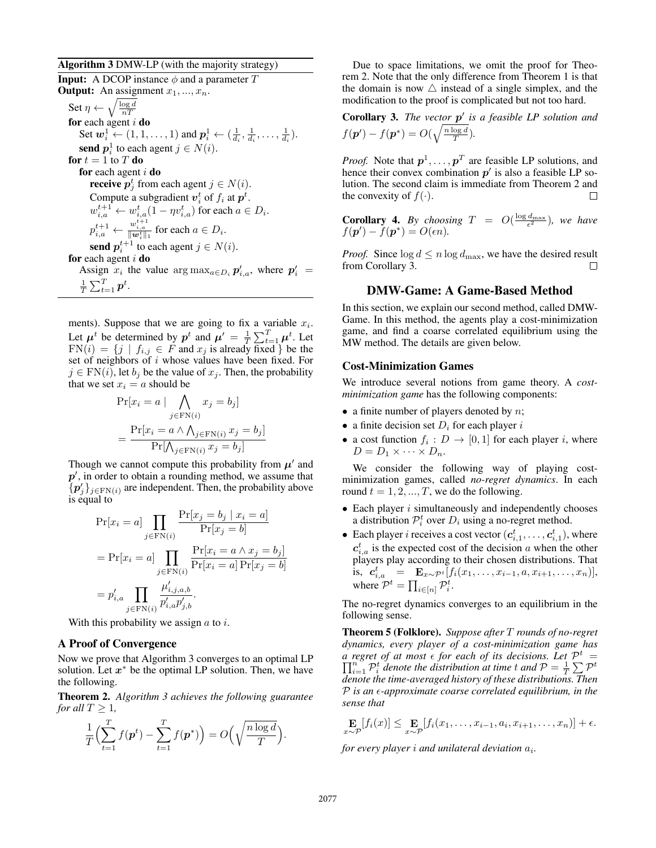## Algorithm 3 DMW-LP (with the majority strategy)

**Input:** A DCOP instance  $\phi$  and a parameter T **Output:** An assignment  $x_1, ..., x_n$ . Set  $\eta \leftarrow \sqrt{\frac{\log d}{nT}}$ for each agent  $i$  do Set  $w_i^1 \leftarrow (1, 1, \ldots, 1)$  and  $p_i^1 \leftarrow (\frac{1}{d_i}, \frac{1}{d_i}, \ldots, \frac{1}{d_i})$ . **send**  $p_i^1$  to each agent  $j \in N(i)$ . for  $t = 1$  to  $T$  do for each agent  $i$  do **receive**  $p_j^t$  from each agent  $j \in N(i)$ . Compute a subgradient  $v_i^t$  of  $f_i$  at  $p^t$ .  $w_{i,a}^{t+1} \leftarrow w_{i,a}^t (1 - \eta v_{i,a}^t)$  for each  $a \in D_i$ .  $p_{i,a}^{t+1} \leftarrow \frac{w_{i,a}^{t+1}}{\|\mathbf{w}_i^t\|_1}$  for each  $a \in D_i$ . send  $p_i^{t+1}$  to each agent  $j \in N(i)$ . for each agent  $i$  do Assign  $x_i$  the value  $\arg \max_{a \in D_i} p'_{i,a}$ , where  $p'_i$  =  $\frac{1}{T}\sum_{t=1}^T \bm{p}^t.$ 

ments). Suppose that we are going to fix a variable  $x_i$ . Let  $\mu^t$  be determined by  $p^t$  and  $\mu' = \frac{1}{T} \sum_{t=1}^T \mu^t$ . Let  $FN(i) = \{j \mid f_{i,j} \in F \text{ and } x_j \text{ is already fixed }\}$  be the set of neighbors of  $i$  whose values have been fixed. For  $j \in \text{FN}(i)$ , let  $b_j$  be the value of  $x_j$ . Then, the probability that we set  $x_i = a$  should be

$$
\Pr[x_i = a \mid \bigwedge_{j \in \text{FN}(i)} x_j = b_j]
$$

$$
= \frac{\Pr[x_i = a \land \bigwedge_{j \in \text{FN}(i)} x_j = b_j]}{\Pr[\bigwedge_{j \in \text{FN}(i)} x_j = b_j]}
$$

Though we cannot compute this probability from  $\mu'$  and  $p'$ , in order to obtain a rounding method, we assume that  $\{p_j'\}_{j \in \text{FN}(i)}$  are independent. Then, the probability above is equal to

$$
\Pr[x_i = a] \prod_{j \in FN(i)} \frac{\Pr[x_j = b_j \mid x_i = a]}{\Pr[x_j = b]}
$$

$$
= \Pr[x_i = a] \prod_{j \in FN(i)} \frac{\Pr[x_i = a \land x_j = b_j]}{\Pr[x_i = a] \Pr[x_j = b]}
$$

$$
= p'_{i,a} \prod_{j \in FN(i)} \frac{\mu'_{i,j,a,b}}{p'_{i,a}p'_{j,b}}.
$$

With this probability we assign  $a$  to  $i$ .

### A Proof of Convergence

Now we prove that Algorithm 3 converges to an optimal LP solution. Let  $x^*$  be the optimal LP solution. Then, we have the following.

Theorem 2. *Algorithm 3 achieves the following guarantee for all*  $T > 1$ ,

$$
\frac{1}{T}\Bigl(\sum_{t=1}^T f(\boldsymbol{p}^t) - \sum_{t=1}^T f(\boldsymbol{p}^*)\Bigr) = O\Bigl(\sqrt{\frac{n\log d}{T}}\Bigr).
$$

Due to space limitations, we omit the proof for Theorem 2. Note that the only difference from Theorem 1 is that the domain is now  $\triangle$  instead of a single simplex, and the modification to the proof is complicated but not too hard.

# Corollary 3. The vector  $p'$  is a feasible LP solution and  $f(\boldsymbol{p}') - f(\boldsymbol{p}^*) = O(\sqrt{\frac{n \log d}{T}}).$

*Proof.* Note that  $p^1, \ldots, p^T$  are feasible LP solutions, and hence their convex combination  $p'$  is also a feasible LP solution. The second claim is immediate from Theorem 2 and the convexity of  $f(\cdot)$ .

**Corollary 4.** By choosing  $T = O(\frac{\log d_{\max}}{\epsilon^2})$ , we have  $f(\mathbf{p}') - f(\mathbf{p}^*) = O(\epsilon n).$ 

*Proof.* Since  $\log d \le n \log d_{\text{max}}$ , we have the desired result from Corollary 3.  $\Box$ 

### DMW-Game: A Game-Based Method

In this section, we explain our second method, called DMW-Game. In this method, the agents play a cost-minimization game, and find a coarse correlated equilibrium using the MW method. The details are given below.

### Cost-Minimization Games

We introduce several notions from game theory. A *costminimization game* has the following components:

- a finite number of players denoted by  $n$ ;
- a finite decision set  $D_i$  for each player i
- a cost function  $f_i: D \to [0,1]$  for each player i, where  $D = D_1 \times \cdots \times D_n$ .

We consider the following way of playing costminimization games, called *no-regret dynamics*. In each round  $t = 1, 2, ..., T$ , we do the following.

- $\bullet$  Each player  $i$  simultaneously and independently chooses a distribution  $P_i^t$  over  $D_i$  using a no-regret method.
- Each player *i* receives a cost vector  $(c_{i,1}^t, \ldots, c_{i,1}^t)$ , where  $c_{i,a}^t$  is the expected cost of the decision a when the other players play according to their chosen distributions. That is,  $c_{i,a}^t = \mathbf{E}_{x \sim \mathcal{P}^t} [f_i(x_1, \ldots, x_{i-1}, a, x_{i+1}, \ldots, x_n)],$ where  $\mathcal{P}^t = \prod_{i \in [n]} \mathcal{P}_i^t$ .

The no-regret dynamics converges to an equilibrium in the following sense.

Theorem 5 (Folklore). *Suppose after* T *rounds of no-regret dynamics, every player of a cost-minimization game has a regret of at most for each of its decisions. Let* P  $\Pi$ regret of at most  $\epsilon$  for each of its decisions. Let  $\mathcal{P}^t = \sum_{i=1}^n \mathcal{P}^t_i$  denote the distribution at time  $t$  and  $\mathcal{P} = \frac{1}{T} \sum_{i=1}^n \mathcal{P}^t_i$ *denote the time-averaged history of these distributions. Then* P *is an -approximate coarse correlated equilibrium, in the sense that*

$$
\mathop{\mathbf{E}}_{x \sim \mathcal{P}}[f_i(x)] \leq \mathop{\mathbf{E}}_{x \sim \mathcal{P}}[f_i(x_1, \ldots, x_{i-1}, a_i, x_{i+1}, \ldots, x_n)] + \epsilon.
$$

for every player i and unilateral deviation  $a_i$ .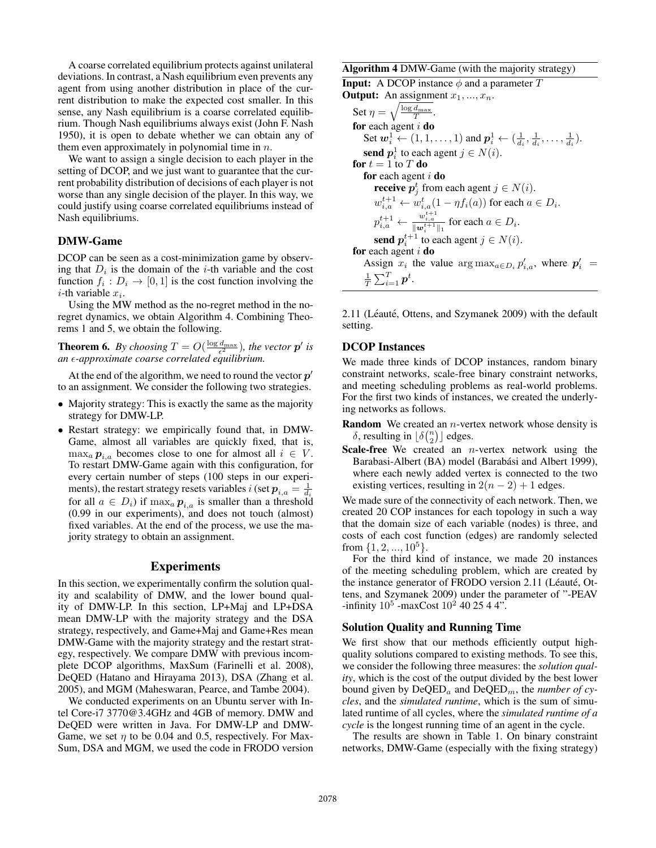A coarse correlated equilibrium protects against unilateral deviations. In contrast, a Nash equilibrium even prevents any agent from using another distribution in place of the current distribution to make the expected cost smaller. In this sense, any Nash equilibrium is a coarse correlated equilibrium. Though Nash equilibriums always exist (John F. Nash 1950), it is open to debate whether we can obtain any of them even approximately in polynomial time in  $n$ .

We want to assign a single decision to each player in the setting of DCOP, and we just want to guarantee that the current probability distribution of decisions of each player is not worse than any single decision of the player. In this way, we could justify using coarse correlated equilibriums instead of Nash equilibriums.

## DMW-Game

DCOP can be seen as a cost-minimization game by observing that  $D_i$  is the domain of the *i*-th variable and the cost function  $f_i: D_i \to [0,1]$  is the cost function involving the *i*-th variable  $x_i$ .

Using the MW method as the no-regret method in the noregret dynamics, we obtain Algorithm 4. Combining Theorems 1 and 5, we obtain the following.

**Theorem 6.** By choosing  $T = O(\frac{\log d_{\max}}{\epsilon^2})$ , the vector  $p'$  is *an -approximate coarse correlated equilibrium.*

At the end of the algorithm, we need to round the vector  $p'$ to an assignment. We consider the following two strategies.

- Majority strategy: This is exactly the same as the majority strategy for DMW-LP.
- Restart strategy: we empirically found that, in DMW-Game, almost all variables are quickly fixed, that is,  $\max_a p_{i,a}$  becomes close to one for almost all  $i \in V$ . To restart DMW-Game again with this configuration, for every certain number of steps (100 steps in our experiments), the restart strategy resets variables i (set  $p_{i,a} = \frac{1}{d_i}$ for all  $a \in D_i$ ) if  $\max_a p_{i,a}$  is smaller than a threshold (0.99 in our experiments), and does not touch (almost) fixed variables. At the end of the process, we use the majority strategy to obtain an assignment.

### Experiments

In this section, we experimentally confirm the solution quality and scalability of DMW, and the lower bound quality of DMW-LP. In this section, LP+Maj and LP+DSA mean DMW-LP with the majority strategy and the DSA strategy, respectively, and Game+Maj and Game+Res mean DMW-Game with the majority strategy and the restart strategy, respectively. We compare DMW with previous incomplete DCOP algorithms, MaxSum (Farinelli et al. 2008), DeQED (Hatano and Hirayama 2013), DSA (Zhang et al. 2005), and MGM (Maheswaran, Pearce, and Tambe 2004).

We conducted experiments on an Ubuntu server with Intel Core-i7 3770@3.4GHz and 4GB of memory. DMW and DeQED were written in Java. For DMW-LP and DMW-Game, we set  $\eta$  to be 0.04 and 0.5, respectively. For Max-Sum, DSA and MGM, we used the code in FRODO version Algorithm 4 DMW-Game (with the majority strategy)

**Input:** A DCOP instance  $\phi$  and a parameter T **Output:** An assignment  $x_1, ..., x_n$ . Set  $\eta = \sqrt{\frac{\log d_{\max}}{T}}$ . for each agent  $i$  do Set  $w_i^1 \leftarrow (1, 1, \ldots, 1)$  and  $p_i^1 \leftarrow (\frac{1}{d_i}, \frac{1}{d_i}, \ldots, \frac{1}{d_i})$ . send  $p_i^1$  to each agent  $j \in N(i)$ . for  $t = 1$  to  $T$  do for each agent  $i$  do **receive**  $p_j^t$  from each agent  $j \in N(i)$ .  $w_{i,a}^{t+1} \leftarrow w_{i,a}^t (1 - \eta f_i(a))$  for each  $a \in D_i$ .  $p_{i,a}^{t+1} \leftarrow \frac{w_{i,a}^{t+1}}{\|w_i^{t+1}\|_1}$  for each  $a \in D_i$ . send  $p_i^{t+1}$  to each agent  $j \in N(i)$ . for each agent  $i$  do Assign  $x_i$  the value  $\arg \max_{a \in D_i} p'_{i,a}$ , where  $p'_i$  =  $\frac{1}{T}\sum_{i=1}^T \bm{p}^t.$ 

2.11 (Léauté, Ottens, and Szymanek 2009) with the default setting.

## DCOP Instances

We made three kinds of DCOP instances, random binary constraint networks, scale-free binary constraint networks, and meeting scheduling problems as real-world problems. For the first two kinds of instances, we created the underlying networks as follows.

- **Random** We created an  $n$ -vertex network whose density is  $\delta$ , resulting in  $\lfloor \delta \binom{n}{2} \rfloor$  edges.
- **Scale-free** We created an  $n$ -vertex network using the Barabasi-Albert (BA) model (Barabási and Albert 1999), where each newly added vertex is connected to the two existing vertices, resulting in  $2(n-2) + 1$  edges.

We made sure of the connectivity of each network. Then, we created 20 COP instances for each topology in such a way that the domain size of each variable (nodes) is three, and costs of each cost function (edges) are randomly selected from  $\{1, 2, ..., 10^5\}$ .

For the third kind of instance, we made 20 instances of the meeting scheduling problem, which are created by the instance generator of FRODO version 2.11 (Léauté, Ottens, and Szymanek 2009) under the parameter of "-PEAV -infinity  $10^5$  -maxCost  $10^2$  40 25 4 4".

### Solution Quality and Running Time

We first show that our methods efficiently output highquality solutions compared to existing methods. To see this, we consider the following three measures: the *solution quality*, which is the cost of the output divided by the best lower bound given by  $DeQED_a$  and  $DeQED_m$ , the *number of cycles*, and the *simulated runtime*, which is the sum of simulated runtime of all cycles, where the *simulated runtime of a cycle* is the longest running time of an agent in the cycle.

The results are shown in Table 1. On binary constraint networks, DMW-Game (especially with the fixing strategy)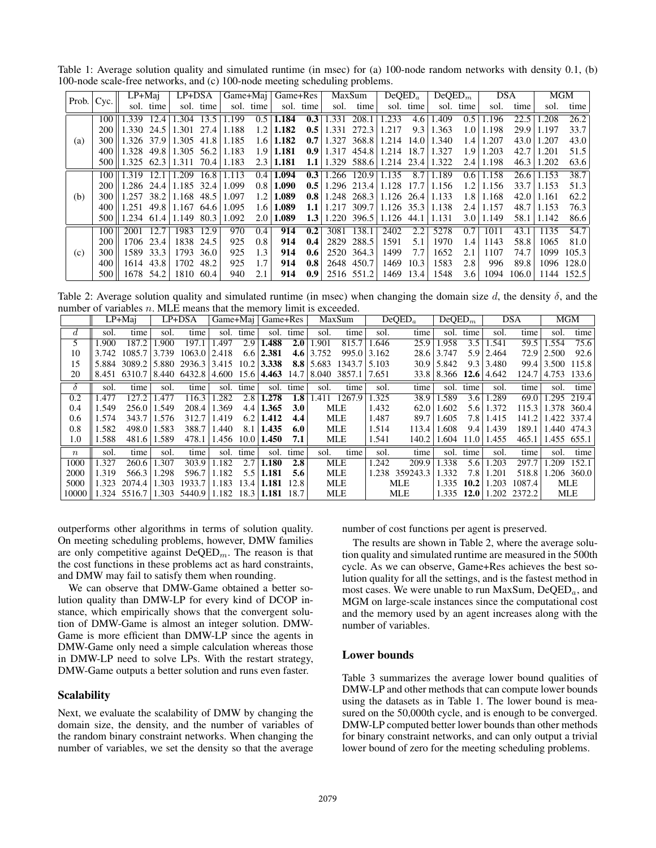Table 1: Average solution quality and simulated runtime (in msec) for (a) 100-node random networks with density 0.1, (b) 100-node scale-free networks, and (c) 100-node meeting scheduling problems.

|     | Prob. $ Cyc. $ | LP+Mai                                                |           | LP+DSA                          |           |       |           | Game+Maj   Game+Res |                  | MaxSum |                            | DeOED <sub>a</sub> |           | $DeQED_m$ |                  | <b>DSA</b> |       | MGM              |            |
|-----|----------------|-------------------------------------------------------|-----------|---------------------------------|-----------|-------|-----------|---------------------|------------------|--------|----------------------------|--------------------|-----------|-----------|------------------|------------|-------|------------------|------------|
|     |                |                                                       | sol. time |                                 | sol. time |       | sol. time |                     | sol. time        | sol.   | time                       |                    | sol. time |           | sol. time        | sol.       | time  | sol.             | time       |
|     |                | $100 \parallel 1.339$                                 | 12.4      | 1.304                           | 13.5      | 1.199 |           | $0.5 \mid 1.184$    | 0.3              | 1.331  | 208.1                      | 1.233              | 4.6       | .409      | 0.5              | 1.196      | 22.5  | .208             | 26.2       |
|     | 200            |                                                       |           | $1.330$ 24.5 $1.301$ 27.4 1.188 |           |       |           | $1.2 \mid 1.182$    | 0.5              | 1.331  | 272.3                      | 1.217              | 9.3       | 1.363     | 1.0              | 1.198      | 29.9  | 1.197            | 33.7       |
| (a) | 300 l          | 1.326 37.9   1.305 41.8   1.185                       |           |                                 |           |       |           | $1.6 \mid 1.182$    | 0.7 <sup>1</sup> | 1.327  | 368.8 1.214 14.0           |                    |           | 1.340     | 1.4              | 1.207      | 43.0  | 1.207            | 43.0       |
|     | 400-           | $ 1.328 \t49.8 $                                      |           | $1.305$ 56.2   1.183            |           |       |           | $1.9 \mid 1.181$    | 0.9 <sub>1</sub> |        | $1.317$ 454.8 $1.214$ 18.7 |                    |           | 1.327     | 1.9              | 1.203      | 42.71 | 1.201            | 51.5       |
|     |                | 500   1.325 62.3   1.311 70.4   1.183                 |           |                                 |           |       |           | $2.3 \mid 1.181$    | 1.1              |        | 1.329 588.6 1.214 23.4     |                    |           | 1.322     | 2.4              | 1.198      | 46.3  | 1.202            | 63.6       |
|     |                | $100 \parallel 1.319$                                 | 12.1      | 1.209                           | 16.8      | 1.113 |           | $0.4 \mid 1.094$    | 0.3              |        | $1.266$ 120.9 1.135        |                    | 8.7       | 1.189     | 0.6              | 1.158      | 26.6  | 1.153            | 38.7       |
|     |                | 200   1.286 24.4   1.185 32.4                         |           |                                 |           | 1.099 |           | $0.8 \mid 1.090$    | 0.5              |        | $1.296$ 213.4              | 1.128              | 17.7      | 1.156     | 1.2              | 1.156      |       | 33.7 1.153       | 51.3       |
| (b) | 300            | 1.257                                                 |           | $38.2 \mid 1.168$ 48.5          |           | 1.097 |           | $1.2 \mid 1.089$    | 0.8 <sub>1</sub> | 1.248  | 268.3 1.126 26.4           |                    |           | 1.133     | 1.8 <sup>1</sup> | 1.168      | 42.0  | 1.161            | 62.2       |
|     | 400            | $\vert 1.251 \vert 49.8 \vert 1.167 \vert 64.6 \vert$ |           |                                 |           | 1.095 |           | $1.6 \mid 1.089$    | 1.1              | 1.217  | $309.7 \mid 1.126$ 35.3    |                    |           | 1.138     | 2.4              | 1.157      |       | $48.7 \pm 1.153$ | 76.3       |
|     | 500            | 1.234 61.4   1.149                                    |           |                                 | 80.3      | 1.092 | 2.0       | 1.089               | 1.3              | 1.220  | 396.5   1.126              |                    | 44.1      | 1.131     | 3.0              | 1.149      | 58.1  | 1.142            | 86.6       |
|     | 100            | 2001                                                  | 12.7      | 1983                            | 12.9      | 970   | 0.4       | 914                 | 0.2              | 3081   | 138.1                      | 2402               | 2.2       | 5278      | 0.7              | 1011       | 43.1  | 1135             | 54.7       |
|     | 200            |                                                       | 1706 23.4 | 1838 24.5                       |           | 925   | 0.8       | 914                 | 0.4              | 2829   | 288.5                      | 1591               | 5.1       | 1970      | 1.4              | 1143       | 58.8  | 1065             | 81.0       |
| (c) | 300            |                                                       | 1589 33.3 | 1793 36.0                       |           | 925   | 1.3       | 914                 | 0.6              | 2520   | 364.3                      | 1499               | 7.7       | 1652      | 2.1              | 1107       | 74.7  | 1099             | 105.3      |
|     | 400            |                                                       | 1614 43.8 | 1702 48.2                       |           | 925   | 1.7       | 914                 | 0.8              | 2648   | 450.7                      | 1469               | 10.3      | 1583      | 2.8              | 996        | 89.8  |                  | 1096 128.0 |
|     | 500            |                                                       | 1678 54.2 | 1810 60.4                       |           | 940   | 2.1       | 914                 | 0.9              | 2516   | 551.2                      | 1469               | 13.4      | 1548      | 3.6              | 1094       | 106.0 |                  | 1144 152.5 |

Table 2: Average solution quality and simulated runtime (in msec) when changing the domain size d, the density  $\delta$ , and the number of variables  $n$ . MLE means that the memory limit is exceeded.

|                  | LP+Maj |              | $LP+DSA$ |                                            |       |      | Game+Maj   Game+Res |                  | MaxSum      |                     | $DeQED_a$ |                | DeQED <sub>m</sub>    |      | <b>DSA</b>       |              | <b>MGM</b>          |                  |
|------------------|--------|--------------|----------|--------------------------------------------|-------|------|---------------------|------------------|-------------|---------------------|-----------|----------------|-----------------------|------|------------------|--------------|---------------------|------------------|
| d.               | sol.   | time         | sol.     | time                                       | sol.  | time | sol.                | time             | sol.        | time                | sol.      | time           | sol.                  | time | sol.             | time         | sol.                | time             |
| 5                | .900   | 187.2        | .900     | 197.1                                      | .497  | 2.9  | 1.488               | 2.0              | .901        | 815.7               | 1.646     | 25.9           | 1.958                 | 3.5  | 1.541            | 59.5         | 1.554               | 75.6             |
| 10               | 3.742  | 1085.7       | 3.739    | $1063.0$ 2.418                             |       | 6.6  | 2.381               | 4.6              | 3.752       | 995.0               | 3.162     | 28.6           | 3.747                 |      | $5.9 \mid 2.464$ |              | $72.9 \mid 2.500$   | 92.6             |
| 15               |        |              |          | 5.884 3089.2 5.880 2936.3 3.415 10.2 3.338 |       |      |                     |                  | $8.8$ 5.683 | $1343.7 \mid 5.103$ |           | 30.9           | 5.842                 |      | $9.3 \mid 3.480$ |              |                     | 99.4 3.500 115.8 |
| 20               |        |              |          | 8.451 6310.7   8.440 6432.8   4.600 15.6   |       |      | $ 4.463 \t14.7$     |                  | 8.040       | 3857.1              | 17.651    |                | 33.8 8.366 12.6 4.642 |      |                  |              | 124.7   4.753 133.6 |                  |
| δ                | sol.   | time         | sol.     | time                                       | sol.  | time | sol.                | time             | sol.        | time                | sol.      | time           | sol.                  | time | sol.             | time         | sol.                | time             |
| 0.2              | .477   | 127.2        | .477     | 116.3                                      | 1.282 | 2.8  | 1.278               | 1.8              | .411        | 1267.9              | 1.325     | 38.9           | 1.589                 | 3.61 | 1.289            | 69.0         |                     | 1.295 219.4      |
| 0.4              | 1.549  | 256.0        | 1.549    | 208.4                                      | 1.369 | 4.4  | 1.365               | 3.0 <sub>2</sub> |             | <b>MLE</b>          | 1.432     | 62.0           | 1.602                 | 5.6  | 1.372            |              | 115.3 1.378 360.4   |                  |
| 0.6              | 1.574  | 343.7        | 1.576    | 312.7                                      | 1.419 | 6.2  | 1.412               | 4.4              |             | <b>MLE</b>          | 1.487     | 89.7           | 1.605                 | 7.8  | 1.415            | 141.2        |                     | 1.422 337.4      |
| 0.8              | 1.582  | 498.0        | 1.583    | 388.7                                      | 1.440 | 8.1  | 1.435               | 6.0              |             | <b>MLE</b>          | 1.514     | 113.4          | 1.608                 | 9.4  | 1.439            | 189.1        |                     | 1.440 474.3      |
| 1.0              | .588   | 481.6        | 1.589    | 478.1                                      | 1.456 | 10.0 | 1.450               | 7.1              |             | MLE                 | 1.541     | 140.2          | 1.604                 | 11.0 | 1.455            | 465.1        |                     | $1.455$ 655.1    |
| $\boldsymbol{n}$ | sol.   | time         | sol.     | time                                       | sol.  | time | sol.                | time             | sol.        | time                | sol.      | time           | sol.                  | time | sol.             | time         | sol.                | time             |
| 1000             | 1.327  | 260.6        | 1.307    | 303.9                                      | 1.182 | 2.7  | 1.180               | 2.8              |             | <b>MLE</b>          | 1.242     | 209.9          | 1.338                 | 5.6  | .203             | 297.7        | 1.209               | 152.1            |
| 2000             | 1.319  | 566.3        | 1.298    | 596.7                                      | 1.182 | 5.5  | 1.181               | 5.6              |             | <b>MLE</b>          |           | 1.238 359243.3 | 1.332                 | 7.8  | 1.201            | 518.8        |                     | 1.206 360.0      |
| 5000             | 1.323  | 2074.4       | 1.303    | 1933.7                                     | 1.183 | 13.4 | 1.181               | 12.8             |             | <b>MLE</b>          |           | MLE            | 1.335                 | 10.2 | 1.203            | 1087.4       |                     | MLE              |
| 10000            |        | 1.324 5516.7 | 1.303    | 5440.9                                     | 1.182 | 18.3 | $1.181$ 18.7        |                  |             | <b>MLE</b>          |           | <b>MLE</b>     | 1.335                 | 12.0 |                  | 1.202 2372.2 |                     | <b>MLE</b>       |

outperforms other algorithms in terms of solution quality. On meeting scheduling problems, however, DMW families are only competitive against  $DeQED_m$ . The reason is that the cost functions in these problems act as hard constraints, and DMW may fail to satisfy them when rounding.

We can observe that DMW-Game obtained a better solution quality than DMW-LP for every kind of DCOP instance, which empirically shows that the convergent solution of DMW-Game is almost an integer solution. DMW-Game is more efficient than DMW-LP since the agents in DMW-Game only need a simple calculation whereas those in DMW-LP need to solve LPs. With the restart strategy, DMW-Game outputs a better solution and runs even faster.

## **Scalability**

Next, we evaluate the scalability of DMW by changing the domain size, the density, and the number of variables of the random binary constraint networks. When changing the number of variables, we set the density so that the average

number of cost functions per agent is preserved.

The results are shown in Table 2, where the average solution quality and simulated runtime are measured in the 500th cycle. As we can observe, Game+Res achieves the best solution quality for all the settings, and is the fastest method in most cases. We were unable to run MaxSum,  $DeQED_a$ , and MGM on large-scale instances since the computational cost and the memory used by an agent increases along with the number of variables.

### Lower bounds

Table 3 summarizes the average lower bound qualities of DMW-LP and other methods that can compute lower bounds using the datasets as in Table 1. The lower bound is measured on the 50,000th cycle, and is enough to be converged. DMW-LP computed better lower bounds than other methods for binary constraint networks, and can only output a trivial lower bound of zero for the meeting scheduling problems.